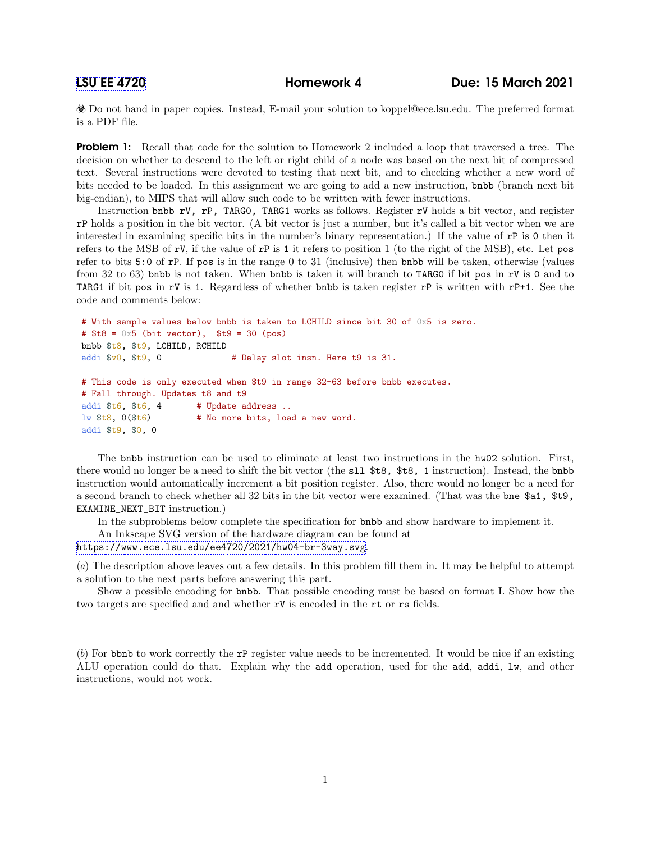Do not hand in paper copies. Instead, E-mail your solution to koppel@ece.lsu.edu. The preferred format is a PDF file.

**Problem 1:** Recall that code for the solution to Homework 2 included a loop that traversed a tree. The decision on whether to descend to the left or right child of a node was based on the next bit of compressed text. Several instructions were devoted to testing that next bit, and to checking whether a new word of bits needed to be loaded. In this assignment we are going to add a new instruction, bnbb (branch next bit big-endian), to MIPS that will allow such code to be written with fewer instructions.

Instruction bnbb rV, rP, TARG0, TARG1 works as follows. Register rV holds a bit vector, and register rP holds a position in the bit vector. (A bit vector is just a number, but it's called a bit vector when we are interested in examining specific bits in the number's binary representation.) If the value of rP is 0 then it refers to the MSB of  $rV$ , if the value of  $rP$  is 1 it refers to position 1 (to the right of the MSB), etc. Let pos refer to bits 5:0 of rP. If pos is in the range 0 to 31 (inclusive) then bnbb will be taken, otherwise (values from 32 to 63) bnbb is not taken. When bnbb is taken it will branch to TARG0 if bit pos in rV is 0 and to TARG1 if bit pos in rV is 1. Regardless of whether bnbb is taken register rP is written with rP+1. See the code and comments below:

```
# With sample values below bnbb is taken to LCHILD since bit 30 of 0x5 is zero.
# t8 = 0x5 (bit vector), t9 = 30 (pos)
bnbb $t8, $t9, LCHILD, RCHILD
addi $v0, $t9, 0 # Delay slot insn. Here t9 is 31.
# This code is only executed when $t9 in range 32-63 before bnbb executes.
# Fall through. Updates t8 and t9
addi t6, t6, 4 # Update address ..
lw t8, 0 (t6) t6 # No more bits, load a new word.
addi $t9, $0, 0
```
The bnbb instruction can be used to eliminate at least two instructions in the hw02 solution. First, there would no longer be a need to shift the bit vector (the sll \$t8, \$t8, 1 instruction). Instead, the bnbb instruction would automatically increment a bit position register. Also, there would no longer be a need for a second branch to check whether all 32 bits in the bit vector were examined. (That was the bne \$a1, \$t9, EXAMINE\_NEXT\_BIT instruction.)

In the subproblems below complete the specification for bnbb and show hardware to implement it.

An Inkscape SVG version of the hardware diagram can be found at

<https://www.ece.lsu.edu/ee4720/2021/hw04-br-3way.svg>.

(a) The description above leaves out a few details. In this problem fill them in. It may be helpful to attempt a solution to the next parts before answering this part.

Show a possible encoding for bnbb. That possible encoding must be based on format I. Show how the two targets are specified and and whether rV is encoded in the rt or rs fields.

(b) For bbnb to work correctly the rP register value needs to be incremented. It would be nice if an existing ALU operation could do that. Explain why the add operation, used for the add, addi, lw, and other instructions, would not work.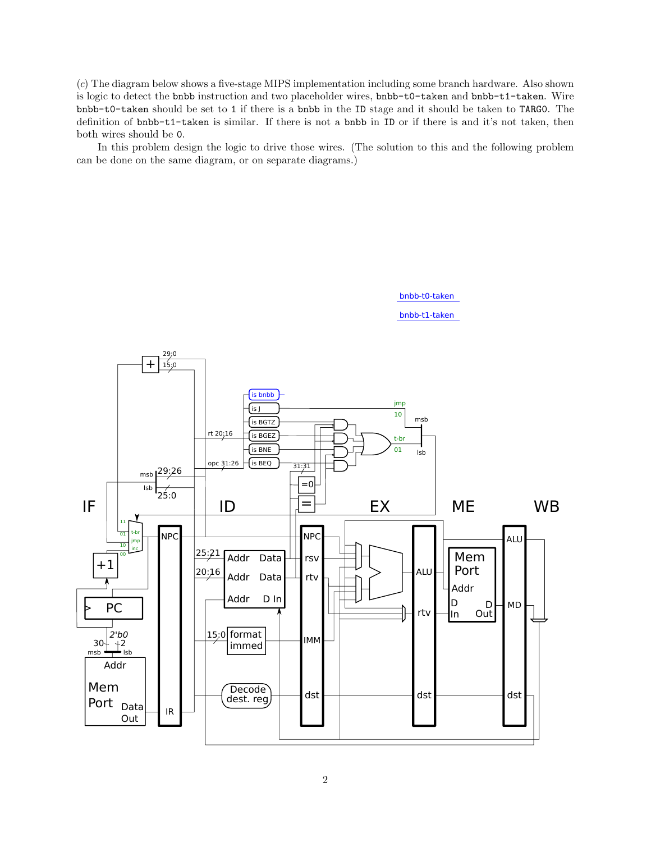(c) The diagram below shows a five-stage MIPS implementation including some branch hardware. Also shown is logic to detect the bnbb instruction and two placeholder wires, bnbb-t0-taken and bnbb-t1-taken. Wire bnbb-t0-taken should be set to 1 if there is a bnbb in the ID stage and it should be taken to TARG0. The definition of bnbb-t1-taken is similar. If there is not a bnbb in ID or if there is and it's not taken, then both wires should be 0.

In this problem design the logic to drive those wires. (The solution to this and the following problem can be done on the same diagram, or on separate diagrams.)



bnbb-t1-taken